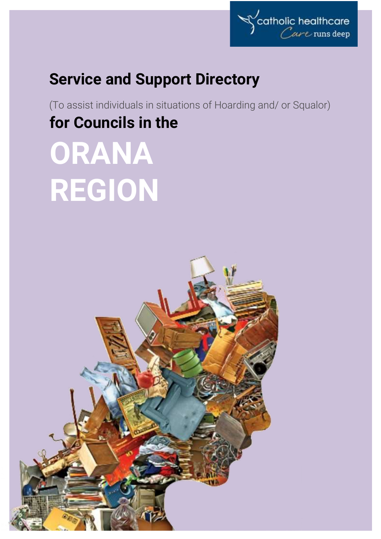

## **Service and Support Directory**

(To assist individuals in situations of Hoarding and/ or Squalor) **for Councils in the**

# **ORANA REGION**

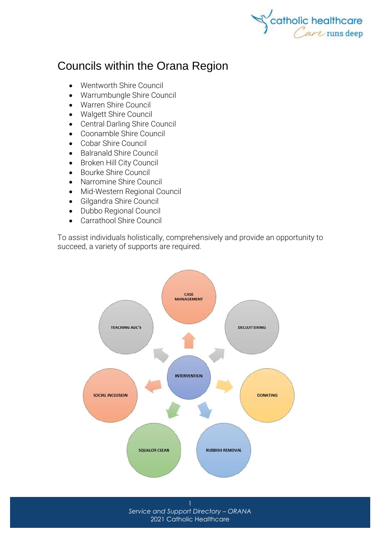

### Councils within the Orana Region

- [Wentworth Shire Council](http://www.wentworth.nsw.gov.au/)
- [Warrumbungle Shire Council](http://www.warrumbungle.nsw.gov.au/)
- [Warren Shire Council](http://www.warren.nsw.gov.au/)
- [Walgett Shire Council](http://www.walgett.nsw.gov.au/)
- [Central Darling Shire](https://www.centraldarling.nsw.gov.au/) Council
- [Coonamble Shire Council](http://www.coonambleshire.nsw.gov.au/)
- [Cobar Shire Council](http://www.cobar.nsw.gov.au/)
- [Balranald Shire Council](http://www.balranald.nsw.gov.au/)
- [Broken Hill City Council](http://www.brokenhill.nsw.gov.au/)
- [Bourke Shire Council](http://www.bourke.nsw.gov.au/)
- [Narromine Shire Council](http://www.narromine.nsw.gov.au/)
- [Mid-Western Regional Council](http://www.midwestern.nsw.gov.au/)
- [Gilgandra Shire Council](http://www.gilgandra.nsw.gov.au/)
- [Dubbo Regional Council](https://www.dubbo.nsw.gov.au/)
- [Carrathool Shire Council](http://www.carrathool.nsw.gov.au/)

To assist individuals holistically, comprehensively and provide an opportunity to succeed, a variety of supports are required.



*Service and Support Directory – ORANA* 2021 Catholic Healthcare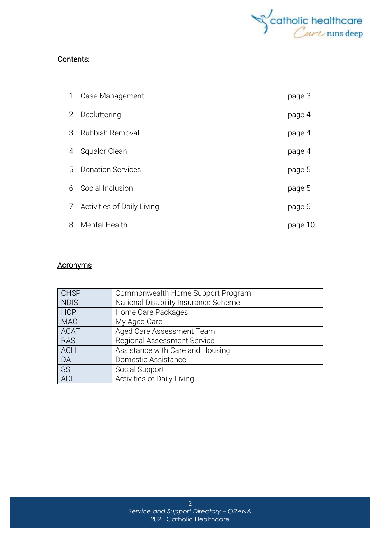

#### Contents:

|    | 1. Case Management            | page 3  |
|----|-------------------------------|---------|
|    | 2. Decluttering               | page 4  |
|    | 3. Rubbish Removal            | page 4  |
|    | 4. Squalor Clean              | page 4  |
|    | 5. Donation Services          | page 5  |
|    | 6. Social Inclusion           | page 5  |
|    | 7. Activities of Daily Living | page 6  |
| 8. | Mental Health                 | page 10 |

#### **Acronyms**

| <b>CHSP</b> | Commonwealth Home Support Program    |
|-------------|--------------------------------------|
| <b>NDIS</b> | National Disability Insurance Scheme |
| <b>HCP</b>  | Home Care Packages                   |
| <b>MAC</b>  | My Aged Care                         |
| <b>ACAT</b> | Aged Care Assessment Team            |
| <b>RAS</b>  | <b>Regional Assessment Service</b>   |
| <b>ACH</b>  | Assistance with Care and Housing     |
| DA          | Domestic Assistance                  |
| SS          | Social Support                       |
| ADL         | Activities of Daily Living           |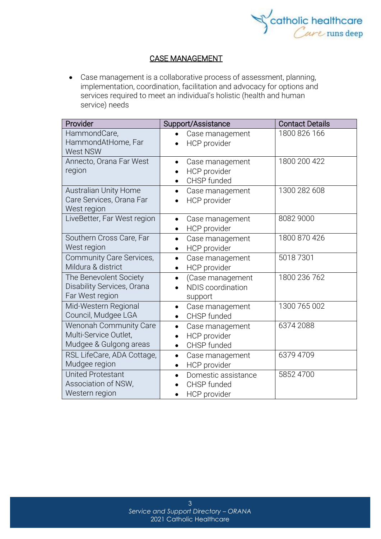

#### CASE MANAGEMENT

• Case management is a collaborative process of assessment, planning, implementation, coordination, facilitation and advocacy for options and services required to meet an individual's holistic (health and human service) needs

| Provider                      | Support/Assistance               | <b>Contact Details</b> |
|-------------------------------|----------------------------------|------------------------|
| HammondCare,                  | Case management                  | 1800 826 166           |
| HammondAtHome, Far            | HCP provider                     |                        |
| <b>West NSW</b>               |                                  |                        |
| Annecto, Orana Far West       | Case management                  | 1800 200 422           |
| region                        | HCP provider                     |                        |
|                               | CHSP funded<br>$\bullet$         |                        |
| <b>Australian Unity Home</b>  | Case management<br>$\bullet$     | 1300 282 608           |
| Care Services, Orana Far      | HCP provider                     |                        |
| West region                   |                                  |                        |
| LiveBetter, Far West region   | Case management<br>$\bullet$     | 8082 9000              |
|                               | HCP provider<br>$\bullet$        |                        |
| Southern Cross Care, Far      | Case management<br>$\bullet$     | 1800 870 426           |
| West region                   | HCP provider<br>$\bullet$        |                        |
| Community Care Services,      | Case management<br>$\bullet$     | 50187301               |
| Mildura & district            | HCP provider<br>$\bullet$        |                        |
| The Benevolent Society        | (Case management<br>$\bullet$    | 1800 236 762           |
| Disability Services, Orana    | <b>NDIS</b> coordination         |                        |
| Far West region               | support                          |                        |
| Mid-Western Regional          | Case management<br>$\bullet$     | 1300 765 002           |
| Council, Mudgee LGA           | CHSP funded<br>$\bullet$         |                        |
| <b>Wenonah Community Care</b> | Case management<br>$\bullet$     | 6374 2088              |
| Multi-Service Outlet,         | HCP provider<br>$\bullet$        |                        |
| Mudgee & Gulgong areas        | CHSP funded<br>$\bullet$         |                        |
| RSL LifeCare, ADA Cottage,    | Case management<br>$\bullet$     | 6379 4709              |
| Mudgee region                 | HCP provider<br>$\bullet$        |                        |
| <b>United Protestant</b>      | Domestic assistance<br>$\bullet$ | 5852 4700              |
| Association of NSW,           | CHSP funded                      |                        |
| Western region                | HCP provider                     |                        |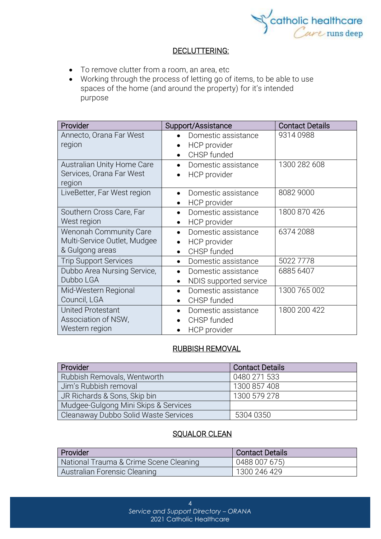

#### DECLUTTERING:

- To remove clutter from a room, an area, etc
- Working through the process of letting go of items, to be able to use spaces of the home (and around the property) for it's intended purpose

| Provider                          | Support/Assistance                              | <b>Contact Details</b> |
|-----------------------------------|-------------------------------------------------|------------------------|
| Annecto, Orana Far West<br>region | Domestic assistance                             | 93140988               |
|                                   | <b>HCP</b> provider<br>$\bullet$<br>CHSP funded |                        |
| Australian Unity Home Care        | Domestic assistance<br>$\bullet$                | 1300 282 608           |
| Services, Orana Far West          | HCP provider<br>$\bullet$                       |                        |
| region                            |                                                 |                        |
| LiveBetter, Far West region       | Domestic assistance                             | 8082 9000              |
|                                   | HCP provider<br>٠                               |                        |
| Southern Cross Care, Far          | Domestic assistance<br>$\bullet$                | 1800 870 426           |
| West region                       | HCP provider<br>$\bullet$                       |                        |
| <b>Wenonah Community Care</b>     | Domestic assistance<br>$\bullet$                | 6374 2088              |
| Multi-Service Outlet, Mudgee      | HCP provider<br>$\bullet$                       |                        |
| & Gulgong areas                   | CHSP funded<br>$\bullet$                        |                        |
| <b>Trip Support Services</b>      | Domestic assistance<br>$\bullet$                | 5022 7778              |
| Dubbo Area Nursing Service,       | Domestic assistance<br>$\bullet$                | 6885 6407              |
| Dubbo LGA                         | NDIS supported service<br>$\bullet$             |                        |
| Mid-Western Regional              | Domestic assistance<br>$\bullet$                | 1300 765 002           |
| Council, LGA                      | CHSP funded<br>$\bullet$                        |                        |
| <b>United Protestant</b>          | Domestic assistance                             | 1800 200 422           |
| Association of NSW,               | CHSP funded                                     |                        |
| Western region                    | HCP provider                                    |                        |

#### RUBBISH REMOVAL

| Provider                             | <b>Contact Details</b> |
|--------------------------------------|------------------------|
| Rubbish Removals, Wentworth          | 0480 271 533           |
| Jim's Rubbish removal                | 1300 857 408           |
| JR Richards & Sons, Skip bin         | 1300 579 278           |
| Mudgee-Gulgong Mini Skips & Services |                        |
| Cleanaway Dubbo Solid Waste Services | 5304 0350              |

#### SQUALOR CLEAN

| Provider                               | <b>Contact Details</b> |
|----------------------------------------|------------------------|
| National Trauma & Crime Scene Cleaning | 0488 007 675)          |
| Australian Forensic Cleaning           | 1300 246 429           |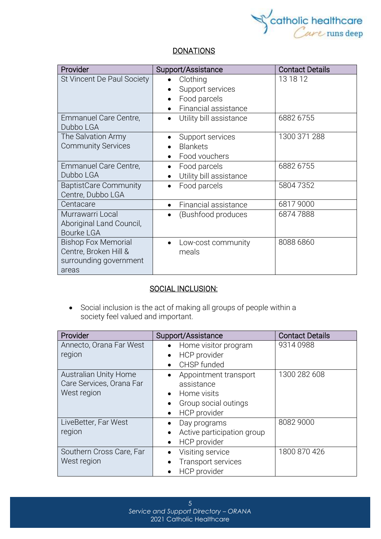

#### **DONATIONS**

| Provider                     | Support/Assistance                   | <b>Contact Details</b> |
|------------------------------|--------------------------------------|------------------------|
| St Vincent De Paul Society   | Clothing                             | 13 18 12               |
|                              | Support services                     |                        |
|                              | Food parcels                         |                        |
|                              | Financial assistance                 |                        |
| Emmanuel Care Centre,        | Utility bill assistance<br>$\bullet$ | 6882 6755              |
| Dubbo LGA                    |                                      |                        |
| The Salvation Army           | Support services                     | 1300 371 288           |
| <b>Community Services</b>    | <b>Blankets</b><br>$\bullet$         |                        |
|                              | Food vouchers                        |                        |
| Emmanuel Care Centre,        | Food parcels                         | 6882 6755              |
| Dubbo LGA                    | Utility bill assistance<br>$\bullet$ |                        |
| <b>BaptistCare Community</b> | Food parcels                         | 58047352               |
| Centre, Dubbo LGA            |                                      |                        |
| Centacare                    | Financial assistance<br>$\bullet$    | 68179000               |
| Murrawarri Local             | (Bushfood produces                   | 68747888               |
| Aboriginal Land Council,     |                                      |                        |
| <b>Bourke LGA</b>            |                                      |                        |
| <b>Bishop Fox Memorial</b>   | Low-cost community                   | 8088 6860              |
| Centre, Broken Hill &        | meals                                |                        |
| surrounding government       |                                      |                        |
| areas                        |                                      |                        |

#### SOCIAL INCLUSION:

• Social [inclusion](https://www.collinsdictionary.com/dictionary/english/inclusion) is the act of making all groups of people within a society [feel](https://www.collinsdictionary.com/dictionary/english/feel) valued and [important.](https://www.collinsdictionary.com/dictionary/english/important)

| Provider                                                                | Support/Assistance                                                                         | <b>Contact Details</b> |
|-------------------------------------------------------------------------|--------------------------------------------------------------------------------------------|------------------------|
| Annecto, Orana Far West<br>region                                       | Home visitor program<br>HCP provider<br>CHSP funded                                        | 93140988               |
| <b>Australian Unity Home</b><br>Care Services, Orana Far<br>West region | Appointment transport<br>assistance<br>Home visits<br>Group social outings<br>HCP provider | 1300 282 608           |
| LiveBetter, Far West<br>region                                          | Day programs<br>Active participation group<br>HCP provider                                 | 8082 9000              |
| Southern Cross Care, Far<br>West region                                 | Visiting service<br><b>Transport services</b><br><b>HCP</b> provider                       | 1800 870 426           |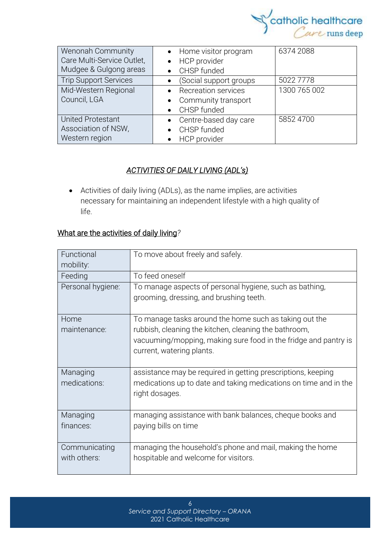

| Wenonah Community<br>Care Multi-Service Outlet,<br>Mudgee & Gulgong areas | Home visitor program<br>$\bullet$<br><b>HCP</b> provider<br>$\bullet$<br>CHSP funded | 6374 2088    |
|---------------------------------------------------------------------------|--------------------------------------------------------------------------------------|--------------|
| <b>Trip Support Services</b>                                              | (Social support groups                                                               | 5022 7778    |
| Mid-Western Regional<br>Council, LGA                                      | <b>Recreation services</b><br>Community transport<br>$\bullet$<br>CHSP funded        | 1300 765 002 |
| <b>United Protestant</b><br>Association of NSW,<br>Western region         | Centre-based day care<br>• CHSP funded<br>HCP provider                               | 5852 4700    |

#### *ACTIVITIES OF DAILY LIVING (ADL's)*

• Activities of daily living (ADLs), as the name implies, are activities necessary for maintaining an independent lifestyle with a high quality of life.

#### What are the activities of daily living*?*

| Functional<br>mobility: | To move about freely and safely.                                                                                                                      |
|-------------------------|-------------------------------------------------------------------------------------------------------------------------------------------------------|
| Feeding                 | To feed oneself                                                                                                                                       |
| Personal hygiene:       | To manage aspects of personal hygiene, such as bathing,<br>grooming, dressing, and brushing teeth.                                                    |
| Home                    | To manage tasks around the home such as taking out the                                                                                                |
| maintenance:            | rubbish, cleaning the kitchen, cleaning the bathroom,<br>vacuuming/mopping, making sure food in the fridge and pantry is<br>current, watering plants. |
| Managing                | assistance may be required in getting prescriptions, keeping                                                                                          |
| medications:            | medications up to date and taking medications on time and in the<br>right dosages.                                                                    |
| Managing                | managing assistance with bank balances, cheque books and                                                                                              |
| finances:               | paying bills on time                                                                                                                                  |
| Communicating           | managing the household's phone and mail, making the home                                                                                              |
| with others:            | hospitable and welcome for visitors.                                                                                                                  |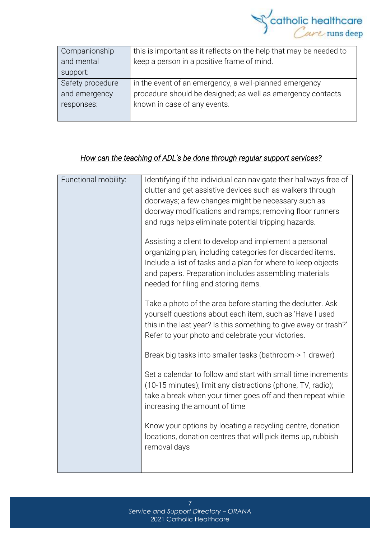

| Companionship    | this is important as it reflects on the help that may be needed to |
|------------------|--------------------------------------------------------------------|
| and mental       | keep a person in a positive frame of mind.                         |
| support:         |                                                                    |
| Safety procedure | in the event of an emergency, a well-planned emergency             |
| and emergency    | procedure should be designed; as well as emergency contacts        |
| responses:       | known in case of any events.                                       |
|                  |                                                                    |

#### *How can the teaching of ADL's be done through regular support services?*

| Functional mobility: | Identifying if the individual can navigate their hallways free of<br>clutter and get assistive devices such as walkers through<br>doorways; a few changes might be necessary such as<br>doorway modifications and ramps; removing floor runners<br>and rugs helps eliminate potential tripping hazards.<br>Assisting a client to develop and implement a personal<br>organizing plan, including categories for discarded items.<br>Include a list of tasks and a plan for where to keep objects<br>and papers. Preparation includes assembling materials<br>needed for filing and storing items.<br>Take a photo of the area before starting the declutter. Ask<br>yourself questions about each item, such as 'Have I used<br>this in the last year? Is this something to give away or trash?'<br>Refer to your photo and celebrate your victories.<br>Break big tasks into smaller tasks (bathroom-> 1 drawer) |
|----------------------|------------------------------------------------------------------------------------------------------------------------------------------------------------------------------------------------------------------------------------------------------------------------------------------------------------------------------------------------------------------------------------------------------------------------------------------------------------------------------------------------------------------------------------------------------------------------------------------------------------------------------------------------------------------------------------------------------------------------------------------------------------------------------------------------------------------------------------------------------------------------------------------------------------------|
|                      | Set a calendar to follow and start with small time increments<br>(10-15 minutes); limit any distractions (phone, TV, radio);<br>take a break when your timer goes off and then repeat while<br>increasing the amount of time<br>Know your options by locating a recycling centre, donation<br>locations, donation centres that will pick items up, rubbish<br>removal days                                                                                                                                                                                                                                                                                                                                                                                                                                                                                                                                       |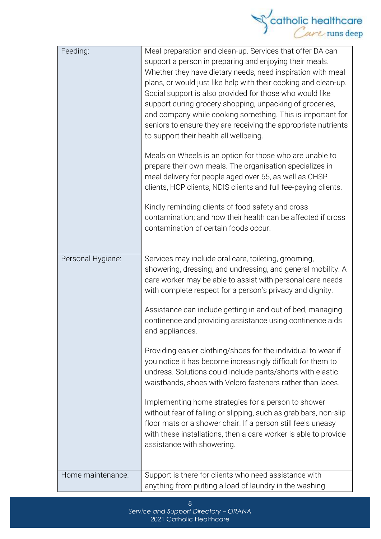

| Feeding:          | Meal preparation and clean-up. Services that offer DA can<br>support a person in preparing and enjoying their meals.<br>Whether they have dietary needs, need inspiration with meal<br>plans, or would just like help with their cooking and clean-up.<br>Social support is also provided for those who would like<br>support during grocery shopping, unpacking of groceries,<br>and company while cooking something. This is important for<br>seniors to ensure they are receiving the appropriate nutrients<br>to support their health all wellbeing.<br>Meals on Wheels is an option for those who are unable to<br>prepare their own meals. The organisation specializes in<br>meal delivery for people aged over 65, as well as CHSP<br>clients, HCP clients, NDIS clients and full fee-paying clients.<br>Kindly reminding clients of food safety and cross<br>contamination; and how their health can be affected if cross<br>contamination of certain foods occur. |
|-------------------|-----------------------------------------------------------------------------------------------------------------------------------------------------------------------------------------------------------------------------------------------------------------------------------------------------------------------------------------------------------------------------------------------------------------------------------------------------------------------------------------------------------------------------------------------------------------------------------------------------------------------------------------------------------------------------------------------------------------------------------------------------------------------------------------------------------------------------------------------------------------------------------------------------------------------------------------------------------------------------|
| Personal Hygiene: | Services may include oral care, toileting, grooming,<br>showering, dressing, and undressing, and general mobility. A<br>care worker may be able to assist with personal care needs<br>with complete respect for a person's privacy and dignity.<br>Assistance can include getting in and out of bed, managing<br>continence and providing assistance using continence aids<br>and appliances.<br>Providing easier clothing/shoes for the individual to wear if<br>you notice it has become increasingly difficult for them to<br>undress. Solutions could include pants/shorts with elastic<br>waistbands, shoes with Velcro fasteners rather than laces.<br>Implementing home strategies for a person to shower<br>without fear of falling or slipping, such as grab bars, non-slip<br>floor mats or a shower chair. If a person still feels uneasy<br>with these installations, then a care worker is able to provide<br>assistance with showering.                       |
| Home maintenance: | Support is there for clients who need assistance with<br>anything from putting a load of laundry in the washing                                                                                                                                                                                                                                                                                                                                                                                                                                                                                                                                                                                                                                                                                                                                                                                                                                                             |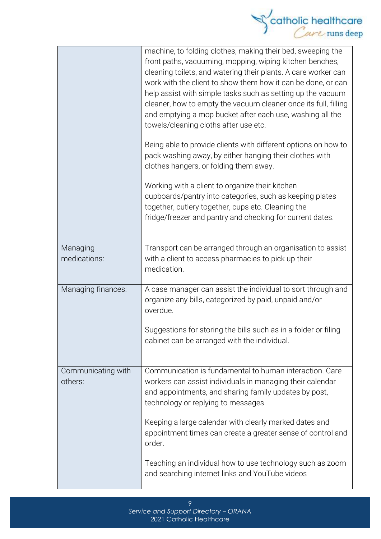

|                               | machine, to folding clothes, making their bed, sweeping the<br>front paths, vacuuming, mopping, wiping kitchen benches,<br>cleaning toilets, and watering their plants. A care worker can<br>work with the client to show them how it can be done, or can<br>help assist with simple tasks such as setting up the vacuum<br>cleaner, how to empty the vacuum cleaner once its full, filling<br>and emptying a mop bucket after each use, washing all the<br>towels/cleaning cloths after use etc.<br>Being able to provide clients with different options on how to<br>pack washing away, by either hanging their clothes with<br>clothes hangers, or folding them away.<br>Working with a client to organize their kitchen |
|-------------------------------|-----------------------------------------------------------------------------------------------------------------------------------------------------------------------------------------------------------------------------------------------------------------------------------------------------------------------------------------------------------------------------------------------------------------------------------------------------------------------------------------------------------------------------------------------------------------------------------------------------------------------------------------------------------------------------------------------------------------------------|
|                               | cupboards/pantry into categories, such as keeping plates<br>together, cutlery together, cups etc. Cleaning the<br>fridge/freezer and pantry and checking for current dates.                                                                                                                                                                                                                                                                                                                                                                                                                                                                                                                                                 |
| Managing<br>medications:      | Transport can be arranged through an organisation to assist<br>with a client to access pharmacies to pick up their<br>medication.                                                                                                                                                                                                                                                                                                                                                                                                                                                                                                                                                                                           |
| Managing finances:            | A case manager can assist the individual to sort through and<br>organize any bills, categorized by paid, unpaid and/or<br>overdue.                                                                                                                                                                                                                                                                                                                                                                                                                                                                                                                                                                                          |
|                               | Suggestions for storing the bills such as in a folder or filing<br>cabinet can be arranged with the individual.                                                                                                                                                                                                                                                                                                                                                                                                                                                                                                                                                                                                             |
| Communicating with<br>others: | Communication is fundamental to human interaction. Care<br>workers can assist individuals in managing their calendar<br>and appointments, and sharing family updates by post,<br>technology or replying to messages                                                                                                                                                                                                                                                                                                                                                                                                                                                                                                         |
|                               | Keeping a large calendar with clearly marked dates and<br>appointment times can create a greater sense of control and<br>order.                                                                                                                                                                                                                                                                                                                                                                                                                                                                                                                                                                                             |
|                               | Teaching an individual how to use technology such as zoom<br>and searching internet links and YouTube videos                                                                                                                                                                                                                                                                                                                                                                                                                                                                                                                                                                                                                |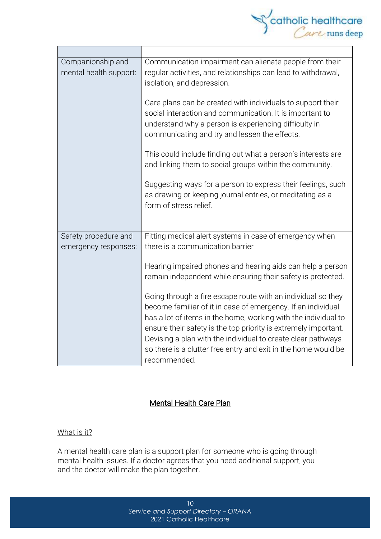

| Companionship and<br>mental health support: | Communication impairment can alienate people from their<br>regular activities, and relationships can lead to withdrawal,<br>isolation, and depression.                                                                                                                                                                                                                                                                                                                                                                            |  |
|---------------------------------------------|-----------------------------------------------------------------------------------------------------------------------------------------------------------------------------------------------------------------------------------------------------------------------------------------------------------------------------------------------------------------------------------------------------------------------------------------------------------------------------------------------------------------------------------|--|
|                                             | Care plans can be created with individuals to support their<br>social interaction and communication. It is important to<br>understand why a person is experiencing difficulty in<br>communicating and try and lessen the effects.                                                                                                                                                                                                                                                                                                 |  |
|                                             | This could include finding out what a person's interests are<br>and linking them to social groups within the community.                                                                                                                                                                                                                                                                                                                                                                                                           |  |
|                                             | Suggesting ways for a person to express their feelings, such<br>as drawing or keeping journal entries, or meditating as a<br>form of stress relief.                                                                                                                                                                                                                                                                                                                                                                               |  |
| Safety procedure and                        | Fitting medical alert systems in case of emergency when                                                                                                                                                                                                                                                                                                                                                                                                                                                                           |  |
| emergency responses:                        | there is a communication barrier                                                                                                                                                                                                                                                                                                                                                                                                                                                                                                  |  |
|                                             | Hearing impaired phones and hearing aids can help a person<br>remain independent while ensuring their safety is protected.<br>Going through a fire escape route with an individual so they<br>become familiar of it in case of emergency. If an individual<br>has a lot of items in the home, working with the individual to<br>ensure their safety is the top priority is extremely important.<br>Devising a plan with the individual to create clear pathways<br>so there is a clutter free entry and exit in the home would be |  |
|                                             | recommended.                                                                                                                                                                                                                                                                                                                                                                                                                                                                                                                      |  |

#### Mental Health Care Plan

#### What is it?

A mental health care plan is a support plan for someone who is going through mental health issues. If a doctor agrees that you need additional support, you and the doctor will make the plan together.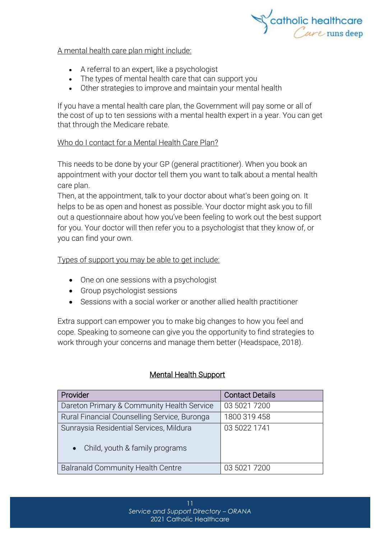

#### A mental health care plan might include:

- A referral to an expert, like a psychologist
- The types of mental health care that can support you
- Other strategies to improve and maintain your mental health

If you have a mental health care plan, the Government will pay some or all of the cost of up to ten sessions with a mental health expert in a year. You can get that through the [Medicare](https://headspace.org.au/blog/how-to-get-a-medicare-card-old/) rebate.

#### Who do I contact for a Mental Health Care Plan?

This needs to be done by your GP (general practitioner). When you book an appointment with your doctor tell them you want to talk about a mental health care plan.

Then, at the appointment, talk to your doctor about what's been going on. It helps to be as open and honest as possible. Your doctor might ask you to fill out a questionnaire about how you've been feeling to work out the best support for you. Your doctor will then refer you to a psychologist that they know of, or you can find your own.

Types of support you may be able to get include:

- One on one sessions with a psychologist
- Group psychologist sessions
- Sessions with a social worker or another allied health practitioner

Extra support can empower you to make big changes to how you feel and cope. Speaking to someone can give you the opportunity to find strategies to work through your concerns and manage them better (Headspace, 2018).

#### Mental Health Support

| Provider                                                                               | <b>Contact Details</b> |
|----------------------------------------------------------------------------------------|------------------------|
| Dareton Primary & Community Health Service                                             | 03 5021 7200           |
| Rural Financial Counselling Service, Buronga                                           | 1800 319 458           |
| Sunraysia Residential Services, Mildura<br>Child, youth & family programs<br>$\bullet$ | 03 5022 1741           |
| <b>Balranald Community Health Centre</b>                                               | 03 5021 7200           |